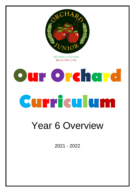

**GROWING TOGETHER. BRANCHING OUT.** 

## **Our Orchard Curriculum**

## Year 6 Overview

2021 - 2022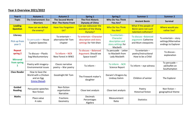## **Year 6 Overview 2021/2022**

| Year <sub>6</sub>                            | Autumn 1                                                                    | <b>Autumn 2</b>                                       | <b>Spring 1</b>                                                            | <b>Spring 2</b>                                                                 | <b>Summer 1</b>                                                     | <b>Summer 2</b>                                                       |
|----------------------------------------------|-----------------------------------------------------------------------------|-------------------------------------------------------|----------------------------------------------------------------------------|---------------------------------------------------------------------------------|---------------------------------------------------------------------|-----------------------------------------------------------------------|
| <b>Topic</b>                                 | <b>The Environment: Eco</b><br><b>Warriors</b>                              | <b>The Second World</b><br><b>War: The Home Front</b> | <b>The First Historic</b><br><b>Dynasty of China</b>                       | <b>Who Do You Think</b><br>You Are?                                             | <b>Ancient Benin</b>                                                | <b>Survival</b>                                                       |
| <b>Leading</b><br><b>Question</b>            | How can we defeat<br>the enemy?                                             | <b>Have You Forgotten</b><br>Us?                      | Can we rediscover the<br>wonders of the Shang<br>Dynasty?                  | <b>Who Do You Think</b><br>You Are?                                             | What if the people of<br>Benin were not such<br>talented craftsmen? | Where would you<br>rather live?                                       |
| Literacy<br><b>Pick up from</b><br>year 5    | To persuade - House<br><b>Captain Speeches</b>                              | To entertain -<br>alternative Mr Tom<br>chapter       | To entertain - Character<br>description and story<br>settings for Yeh-Shen | To entertain -<br>Character<br>description and<br>story settings for<br>Macbeth | To discuss - Balanced<br>argument: Catherine<br>and Mum viewpoints  | To entertain $-$ story<br>settings/Alternative<br>endings to Explorer |
| <b>Repeat</b><br>spring 2<br><b>Mirrored</b> | To discuss - Plastic<br>bag Mockumentary                                    | To inform $-$ NCR<br>New Forest in WW2                | To discuss - Balanced<br>Argument: Should we<br>Space travel?              | To persuade - Letter<br>to Macbeth from<br>Lady Macbeth                         | To entertain $-$<br>poetry/instructional<br>How to be a Child       | To discuss -<br>explanation                                           |
| from spring                                  | Poetry with imagery-<br>Environmental issues                                | Classic narrative<br>poetry - War poetry              | To inform -                                                                | To inform - NCR<br><b>Science Report</b>                                        | To inform $-$ eye witness                                           | To persuade -<br>ad/leaflet on<br>Southampton                         |
| <b>Class Reader</b>                          | How to Save the<br>World with a Chicken<br>and an Egg<br><b>Emma Shevah</b> | Goodnight Mr Tom                                      | The Firework maker's<br>daughter                                           | Darwin's Dragons by<br>Lindsay Galvin                                           | Children of winter                                                  | The Explorer                                                          |
| Guided<br><b>Reading</b>                     | Persuasive speeches<br>Non fiction                                          | Non-fiction<br>organisation<br>Narrative              | Close text analysis                                                        | Close text analysis                                                             | Poetry<br><b>Historical fiction</b>                                 | Non fiction $-$<br>geographical theme                                 |
| <b>Maths</b>                                 | Place value<br>4 rules                                                      | Fractions<br>Geometry                                 | <b>Decimals</b><br>Percentages<br>Algebra                                  | Measurement<br>Ratio                                                            | <b>Statistics</b>                                                   |                                                                       |